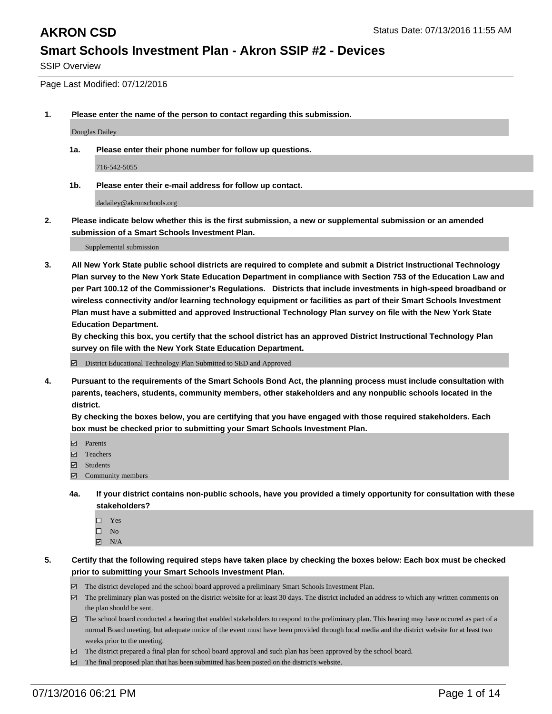SSIP Overview

Page Last Modified: 07/12/2016

**1. Please enter the name of the person to contact regarding this submission.**

Douglas Dailey

**1a. Please enter their phone number for follow up questions.**

716-542-5055

**1b. Please enter their e-mail address for follow up contact.**

dadailey@akronschools.org

**2. Please indicate below whether this is the first submission, a new or supplemental submission or an amended submission of a Smart Schools Investment Plan.**

Supplemental submission

**3. All New York State public school districts are required to complete and submit a District Instructional Technology Plan survey to the New York State Education Department in compliance with Section 753 of the Education Law and per Part 100.12 of the Commissioner's Regulations. Districts that include investments in high-speed broadband or wireless connectivity and/or learning technology equipment or facilities as part of their Smart Schools Investment Plan must have a submitted and approved Instructional Technology Plan survey on file with the New York State Education Department.** 

**By checking this box, you certify that the school district has an approved District Instructional Technology Plan survey on file with the New York State Education Department.**

District Educational Technology Plan Submitted to SED and Approved

**4. Pursuant to the requirements of the Smart Schools Bond Act, the planning process must include consultation with parents, teachers, students, community members, other stakeholders and any nonpublic schools located in the district.** 

**By checking the boxes below, you are certifying that you have engaged with those required stakeholders. Each box must be checked prior to submitting your Smart Schools Investment Plan.**

- Parents
- □ Teachers
- Students
- Community members
- **4a. If your district contains non-public schools, have you provided a timely opportunity for consultation with these stakeholders?**
	- $\Box$  Yes  $\square$  No
	- $\boxtimes$  N/A
- **5. Certify that the following required steps have taken place by checking the boxes below: Each box must be checked prior to submitting your Smart Schools Investment Plan.**
	- The district developed and the school board approved a preliminary Smart Schools Investment Plan.
	- $\boxdot$  The preliminary plan was posted on the district website for at least 30 days. The district included an address to which any written comments on the plan should be sent.
	- The school board conducted a hearing that enabled stakeholders to respond to the preliminary plan. This hearing may have occured as part of a normal Board meeting, but adequate notice of the event must have been provided through local media and the district website for at least two weeks prior to the meeting.
	- The district prepared a final plan for school board approval and such plan has been approved by the school board.
	- $\boxdot$  The final proposed plan that has been submitted has been posted on the district's website.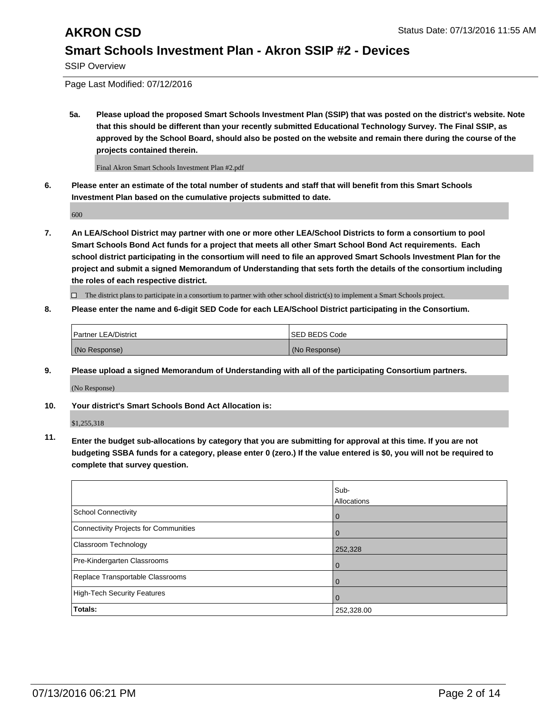SSIP Overview

Page Last Modified: 07/12/2016

**5a. Please upload the proposed Smart Schools Investment Plan (SSIP) that was posted on the district's website. Note that this should be different than your recently submitted Educational Technology Survey. The Final SSIP, as approved by the School Board, should also be posted on the website and remain there during the course of the projects contained therein.**

Final Akron Smart Schools Investment Plan #2.pdf

**6. Please enter an estimate of the total number of students and staff that will benefit from this Smart Schools Investment Plan based on the cumulative projects submitted to date.**

600

**7. An LEA/School District may partner with one or more other LEA/School Districts to form a consortium to pool Smart Schools Bond Act funds for a project that meets all other Smart School Bond Act requirements. Each school district participating in the consortium will need to file an approved Smart Schools Investment Plan for the project and submit a signed Memorandum of Understanding that sets forth the details of the consortium including the roles of each respective district.**

 $\Box$  The district plans to participate in a consortium to partner with other school district(s) to implement a Smart Schools project.

### **8. Please enter the name and 6-digit SED Code for each LEA/School District participating in the Consortium.**

| <b>Partner LEA/District</b> | <b>ISED BEDS Code</b> |
|-----------------------------|-----------------------|
| (No Response)               | (No Response)         |

**9. Please upload a signed Memorandum of Understanding with all of the participating Consortium partners.**

(No Response)

**10. Your district's Smart Schools Bond Act Allocation is:**

\$1,255,318

**11. Enter the budget sub-allocations by category that you are submitting for approval at this time. If you are not budgeting SSBA funds for a category, please enter 0 (zero.) If the value entered is \$0, you will not be required to complete that survey question.**

|                                       | Sub-        |
|---------------------------------------|-------------|
|                                       | Allocations |
| School Connectivity                   | 0           |
| Connectivity Projects for Communities | $\Omega$    |
| Classroom Technology                  | 252,328     |
| Pre-Kindergarten Classrooms           | $\Omega$    |
| Replace Transportable Classrooms      | $\Omega$    |
| High-Tech Security Features           | $\Omega$    |
| <b>Totals:</b>                        | 252,328.00  |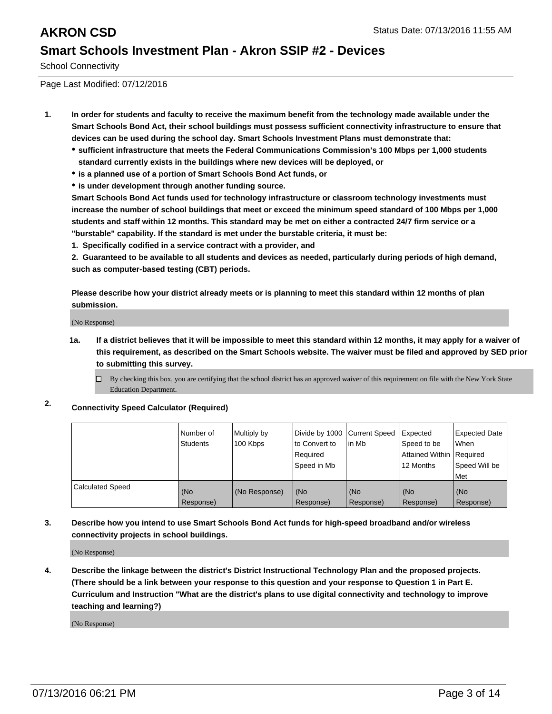School Connectivity

Page Last Modified: 07/12/2016

- **1. In order for students and faculty to receive the maximum benefit from the technology made available under the Smart Schools Bond Act, their school buildings must possess sufficient connectivity infrastructure to ensure that devices can be used during the school day. Smart Schools Investment Plans must demonstrate that:**
	- **sufficient infrastructure that meets the Federal Communications Commission's 100 Mbps per 1,000 students standard currently exists in the buildings where new devices will be deployed, or**
	- **is a planned use of a portion of Smart Schools Bond Act funds, or**
	- **is under development through another funding source.**

**Smart Schools Bond Act funds used for technology infrastructure or classroom technology investments must increase the number of school buildings that meet or exceed the minimum speed standard of 100 Mbps per 1,000 students and staff within 12 months. This standard may be met on either a contracted 24/7 firm service or a "burstable" capability. If the standard is met under the burstable criteria, it must be:**

**1. Specifically codified in a service contract with a provider, and**

**2. Guaranteed to be available to all students and devices as needed, particularly during periods of high demand, such as computer-based testing (CBT) periods.**

**Please describe how your district already meets or is planning to meet this standard within 12 months of plan submission.**

(No Response)

- **1a. If a district believes that it will be impossible to meet this standard within 12 months, it may apply for a waiver of this requirement, as described on the Smart Schools website. The waiver must be filed and approved by SED prior to submitting this survey.**
	- $\Box$  By checking this box, you are certifying that the school district has an approved waiver of this requirement on file with the New York State Education Department.
- **2. Connectivity Speed Calculator (Required)**

|                         | l Number of<br><b>Students</b> | Multiply by<br>100 Kbps | Divide by 1000 Current Speed<br>to Convert to<br>Required<br>Speed in Mb | lin Mb           | Expected<br>Speed to be<br>Attained Within   Required<br>12 Months | <b>Expected Date</b><br><b>When</b><br>Speed Will be<br>l Met |
|-------------------------|--------------------------------|-------------------------|--------------------------------------------------------------------------|------------------|--------------------------------------------------------------------|---------------------------------------------------------------|
| <b>Calculated Speed</b> | (No<br>Response)               | (No Response)           | (No<br>Response)                                                         | (No<br>Response) | (No<br>Response)                                                   | (No<br>Response)                                              |

### **3. Describe how you intend to use Smart Schools Bond Act funds for high-speed broadband and/or wireless connectivity projects in school buildings.**

(No Response)

**4. Describe the linkage between the district's District Instructional Technology Plan and the proposed projects. (There should be a link between your response to this question and your response to Question 1 in Part E. Curriculum and Instruction "What are the district's plans to use digital connectivity and technology to improve teaching and learning?)**

(No Response)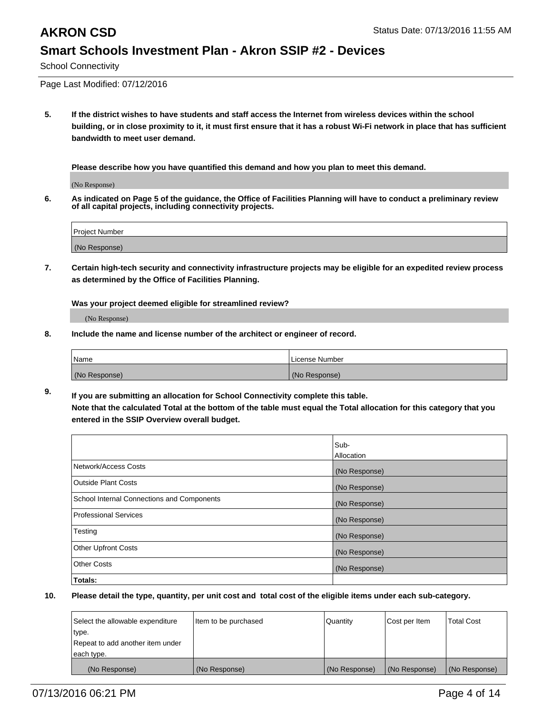School Connectivity

Page Last Modified: 07/12/2016

**5. If the district wishes to have students and staff access the Internet from wireless devices within the school building, or in close proximity to it, it must first ensure that it has a robust Wi-Fi network in place that has sufficient bandwidth to meet user demand.**

**Please describe how you have quantified this demand and how you plan to meet this demand.**

(No Response)

**6. As indicated on Page 5 of the guidance, the Office of Facilities Planning will have to conduct a preliminary review of all capital projects, including connectivity projects.**

| Project Number |  |
|----------------|--|
| (No Response)  |  |

**7. Certain high-tech security and connectivity infrastructure projects may be eligible for an expedited review process as determined by the Office of Facilities Planning.**

**Was your project deemed eligible for streamlined review?**

(No Response)

**8. Include the name and license number of the architect or engineer of record.**

| <b>Name</b>   | License Number |
|---------------|----------------|
| (No Response) | (No Response)  |

**9. If you are submitting an allocation for School Connectivity complete this table. Note that the calculated Total at the bottom of the table must equal the Total allocation for this category that you entered in the SSIP Overview overall budget.** 

|                                            | Sub-          |
|--------------------------------------------|---------------|
|                                            | Allocation    |
| Network/Access Costs                       | (No Response) |
| <b>Outside Plant Costs</b>                 | (No Response) |
| School Internal Connections and Components | (No Response) |
| Professional Services                      | (No Response) |
| Testing                                    | (No Response) |
| <b>Other Upfront Costs</b>                 | (No Response) |
| <b>Other Costs</b>                         | (No Response) |
| Totals:                                    |               |

| Select the allowable expenditure | Item to be purchased | Quantity      | Cost per Item | <b>Total Cost</b> |
|----------------------------------|----------------------|---------------|---------------|-------------------|
| type.                            |                      |               |               |                   |
| Repeat to add another item under |                      |               |               |                   |
| each type.                       |                      |               |               |                   |
| (No Response)                    | (No Response)        | (No Response) | (No Response) | (No Response)     |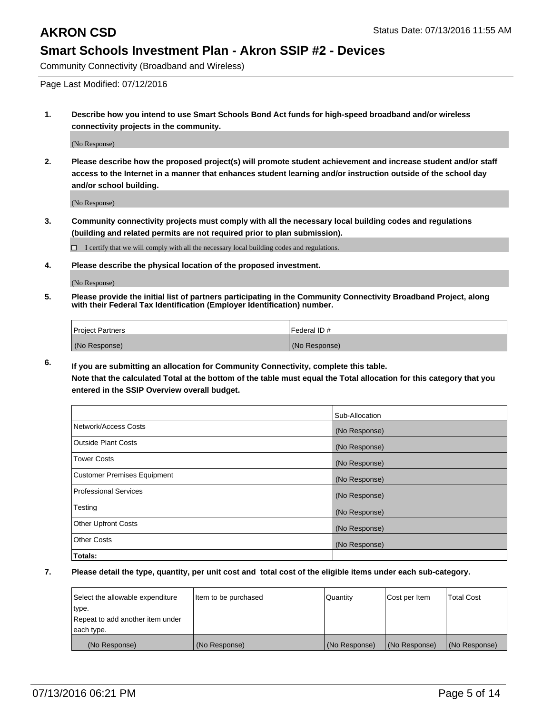Community Connectivity (Broadband and Wireless)

Page Last Modified: 07/12/2016

**1. Describe how you intend to use Smart Schools Bond Act funds for high-speed broadband and/or wireless connectivity projects in the community.**

(No Response)

**2. Please describe how the proposed project(s) will promote student achievement and increase student and/or staff access to the Internet in a manner that enhances student learning and/or instruction outside of the school day and/or school building.**

(No Response)

**3. Community connectivity projects must comply with all the necessary local building codes and regulations (building and related permits are not required prior to plan submission).**

 $\Box$  I certify that we will comply with all the necessary local building codes and regulations.

**4. Please describe the physical location of the proposed investment.**

(No Response)

**5. Please provide the initial list of partners participating in the Community Connectivity Broadband Project, along with their Federal Tax Identification (Employer Identification) number.**

| Project Partners | Federal ID#   |
|------------------|---------------|
| (No Response)    | (No Response) |

**6. If you are submitting an allocation for Community Connectivity, complete this table. Note that the calculated Total at the bottom of the table must equal the Total allocation for this category that you**

**entered in the SSIP Overview overall budget.**

|                                    | Sub-Allocation |
|------------------------------------|----------------|
| Network/Access Costs               | (No Response)  |
| <b>Outside Plant Costs</b>         | (No Response)  |
| <b>Tower Costs</b>                 | (No Response)  |
| <b>Customer Premises Equipment</b> | (No Response)  |
| <b>Professional Services</b>       | (No Response)  |
| Testing                            | (No Response)  |
| <b>Other Upfront Costs</b>         | (No Response)  |
| <b>Other Costs</b>                 | (No Response)  |
| Totals:                            |                |

| Select the allowable expenditure | Item to be purchased | <b>Quantity</b> | Cost per Item | Total Cost    |
|----------------------------------|----------------------|-----------------|---------------|---------------|
| type.                            |                      |                 |               |               |
| Repeat to add another item under |                      |                 |               |               |
| each type.                       |                      |                 |               |               |
| (No Response)                    | (No Response)        | (No Response)   | (No Response) | (No Response) |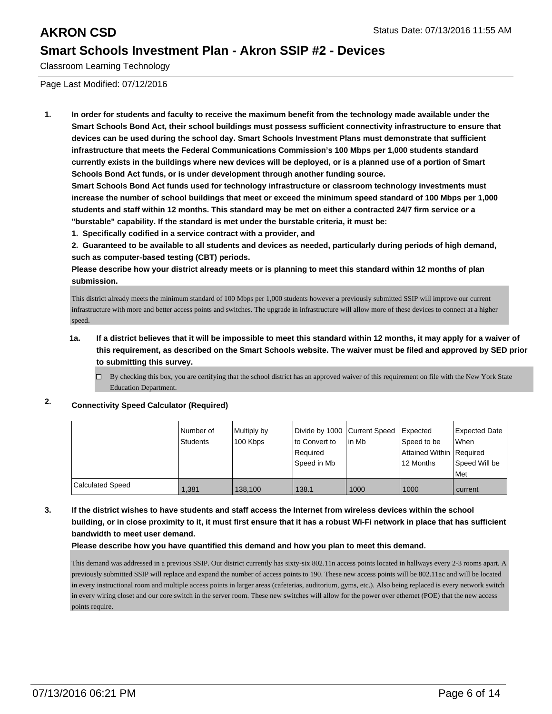Classroom Learning Technology

Page Last Modified: 07/12/2016

**1. In order for students and faculty to receive the maximum benefit from the technology made available under the Smart Schools Bond Act, their school buildings must possess sufficient connectivity infrastructure to ensure that devices can be used during the school day. Smart Schools Investment Plans must demonstrate that sufficient infrastructure that meets the Federal Communications Commission's 100 Mbps per 1,000 students standard currently exists in the buildings where new devices will be deployed, or is a planned use of a portion of Smart Schools Bond Act funds, or is under development through another funding source.**

**Smart Schools Bond Act funds used for technology infrastructure or classroom technology investments must increase the number of school buildings that meet or exceed the minimum speed standard of 100 Mbps per 1,000 students and staff within 12 months. This standard may be met on either a contracted 24/7 firm service or a "burstable" capability. If the standard is met under the burstable criteria, it must be:**

**1. Specifically codified in a service contract with a provider, and**

**2. Guaranteed to be available to all students and devices as needed, particularly during periods of high demand, such as computer-based testing (CBT) periods.**

**Please describe how your district already meets or is planning to meet this standard within 12 months of plan submission.**

This district already meets the minimum standard of 100 Mbps per 1,000 students however a previously submitted SSIP will improve our current infrastructure with more and better access points and switches. The upgrade in infrastructure will allow more of these devices to connect at a higher speed.

**1a. If a district believes that it will be impossible to meet this standard within 12 months, it may apply for a waiver of this requirement, as described on the Smart Schools website. The waiver must be filed and approved by SED prior to submitting this survey.**

 $\Box$  By checking this box, you are certifying that the school district has an approved waiver of this requirement on file with the New York State Education Department.

## **2. Connectivity Speed Calculator (Required)**

|                  | Number of | Multiply by | Divide by 1000 Current Speed |         | Expected                   | Expected Date |
|------------------|-----------|-------------|------------------------------|---------|----------------------------|---------------|
|                  | Students  | 100 Kbps    | Ito Convert to               | l in Mb | Speed to be                | <b>When</b>   |
|                  |           |             | Required                     |         | Attained Within   Required |               |
|                  |           |             | Speed in Mb                  |         | 12 Months                  | Speed Will be |
|                  |           |             |                              |         |                            | <b>Met</b>    |
| Calculated Speed | 1.381     | 138.100     | 138.1                        | 1000    | 1000                       | current       |

### **3. If the district wishes to have students and staff access the Internet from wireless devices within the school building, or in close proximity to it, it must first ensure that it has a robust Wi-Fi network in place that has sufficient bandwidth to meet user demand.**

### **Please describe how you have quantified this demand and how you plan to meet this demand.**

This demand was addressed in a previous SSIP. Our district currently has sixty-six 802.11n access points located in hallways every 2-3 rooms apart. A previously submitted SSIP will replace and expand the number of access points to 190. These new access points will be 802.11ac and will be located in every instructional room and multiple access points in larger areas (cafeterias, auditorium, gyms, etc.). Also being replaced is every network switch in every wiring closet and our core switch in the server room. These new switches will allow for the power over ethernet (POE) that the new access points require.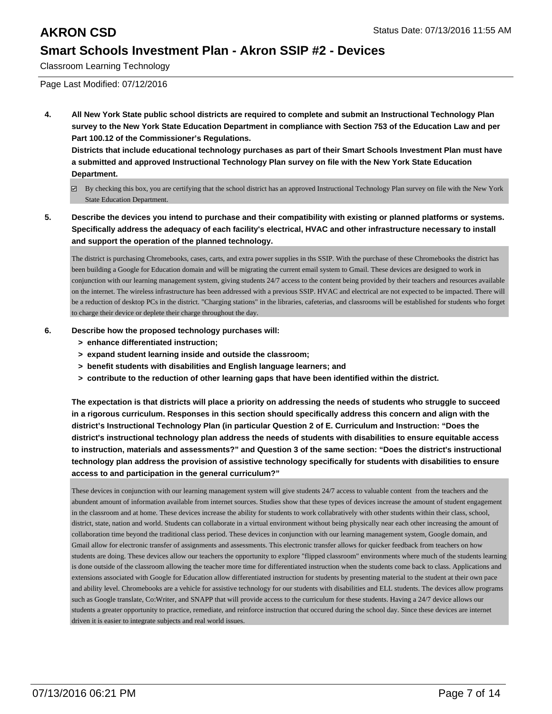Classroom Learning Technology

Page Last Modified: 07/12/2016

**4. All New York State public school districts are required to complete and submit an Instructional Technology Plan survey to the New York State Education Department in compliance with Section 753 of the Education Law and per Part 100.12 of the Commissioner's Regulations.**

**Districts that include educational technology purchases as part of their Smart Schools Investment Plan must have a submitted and approved Instructional Technology Plan survey on file with the New York State Education Department.**

- By checking this box, you are certifying that the school district has an approved Instructional Technology Plan survey on file with the New York State Education Department.
- **5. Describe the devices you intend to purchase and their compatibility with existing or planned platforms or systems. Specifically address the adequacy of each facility's electrical, HVAC and other infrastructure necessary to install and support the operation of the planned technology.**

The district is purchasing Chromebooks, cases, carts, and extra power supplies in ths SSIP. With the purchase of these Chromebooks the district has been building a Google for Education domain and will be migrating the current email system to Gmail. These devices are designed to work in conjunction with our learning management system, giving students 24/7 access to the content being provided by their teachers and resources available on the internet. The wireless infrastructure has been addressed with a previous SSIP. HVAC and electrical are not expected to be impacted. There will be a reduction of desktop PCs in the district. "Charging stations" in the libraries, cafeterias, and classrooms will be established for students who forget to charge their device or deplete their charge throughout the day.

- **6. Describe how the proposed technology purchases will:**
	- **> enhance differentiated instruction;**
	- **> expand student learning inside and outside the classroom;**
	- **> benefit students with disabilities and English language learners; and**
	- **> contribute to the reduction of other learning gaps that have been identified within the district.**

**The expectation is that districts will place a priority on addressing the needs of students who struggle to succeed in a rigorous curriculum. Responses in this section should specifically address this concern and align with the district's Instructional Technology Plan (in particular Question 2 of E. Curriculum and Instruction: "Does the district's instructional technology plan address the needs of students with disabilities to ensure equitable access to instruction, materials and assessments?" and Question 3 of the same section: "Does the district's instructional technology plan address the provision of assistive technology specifically for students with disabilities to ensure access to and participation in the general curriculum?"**

These devices in conjunction with our learning management system will give students 24/7 access to valuable content from the teachers and the abundent amount of information available from internet sources. Studies show that these types of devices increase the amount of student engagement in the classroom and at home. These devices increase the ability for students to work collabratively with other students within their class, school, district, state, nation and world. Students can collaborate in a virtual environment without being physically near each other increasing the amount of collaboration time beyond the traditional class period. These devices in conjunction with our learning management system, Google domain, and Gmail allow for electronic transfer of assignments and assessments. This electronic transfer allows for quicker feedback from teachers on how students are doing. These devices allow our teachers the opportunity to explore "flipped classroom" environments where much of the students learning is done outside of the classroom allowing the teacher more time for differentiated instruction when the students come back to class. Applications and extensions associated with Google for Education allow differentiated instruction for students by presenting material to the student at their own pace and ability level. Chromebooks are a vehicle for assistive technology for our students with disabilities and ELL students. The devices allow programs such as Google translate, Co:Writer, and SNAPP that will provide access to the curriculum for these students. Having a 24/7 device allows our students a greater opportunity to practice, remediate, and reinforce instruction that occured during the school day. Since these devices are internet driven it is easier to integrate subjects and real world issues.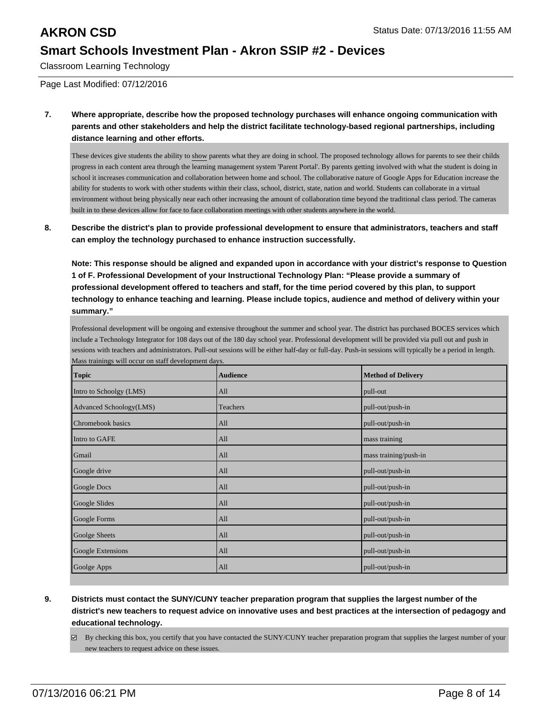Classroom Learning Technology

Page Last Modified: 07/12/2016

**7. Where appropriate, describe how the proposed technology purchases will enhance ongoing communication with parents and other stakeholders and help the district facilitate technology-based regional partnerships, including distance learning and other efforts.**

These devices give students the ability to show parents what they are doing in school. The proposed technology allows for parents to see their childs progress in each content area through the learning management system 'Parent Portal'. By parents getting involved with what the student is doing in school it increases communication and collaboration between home and school. The collaborative nature of Google Apps for Education increase the ability for students to work with other students within their class, school, district, state, nation and world. Students can collaborate in a virtual environment without being physically near each other increasing the amount of collaboration time beyond the traditional class period. The cameras built in to these devices allow for face to face collaboration meetings with other students anywhere in the world.

**8. Describe the district's plan to provide professional development to ensure that administrators, teachers and staff can employ the technology purchased to enhance instruction successfully.**

**Note: This response should be aligned and expanded upon in accordance with your district's response to Question 1 of F. Professional Development of your Instructional Technology Plan: "Please provide a summary of professional development offered to teachers and staff, for the time period covered by this plan, to support technology to enhance teaching and learning. Please include topics, audience and method of delivery within your summary."**

Professional development will be ongoing and extensive throughout the summer and school year. The district has purchased BOCES services which include a Technology Integrator for 108 days out of the 180 day school year. Professional development will be provided via pull out and push in sessions with teachers and administrators. Pull-out sessions will be either half-day or full-day. Push-in sessions will typically be a period in length. Mass trainings will occur on staff development days.

| <b>Topic</b>            | <b>Audience</b> | <b>Method of Delivery</b> |
|-------------------------|-----------------|---------------------------|
| Intro to Schoolgy (LMS) | A <sub>11</sub> | pull-out                  |
| Advanced Schoology(LMS) | Teachers        | pull-out/push-in          |
| Chromebook basics       | A <sub>11</sub> | pull-out/push-in          |
| Intro to GAFE           | All             | mass training             |
| Gmail                   | All             | mass training/push-in     |
| Google drive            | A <sub>11</sub> | pull-out/push-in          |
| Google Docs             | All             | pull-out/push-in          |
| Google Slides           | All             | pull-out/push-in          |
| Google Forms            | A <sub>11</sub> | pull-out/push-in          |
| <b>Goolge Sheets</b>    | All             | pull-out/push-in          |
| Google Extensions       | All             | pull-out/push-in          |
| Goolge Apps             | All             | pull-out/push-in          |

- **9. Districts must contact the SUNY/CUNY teacher preparation program that supplies the largest number of the district's new teachers to request advice on innovative uses and best practices at the intersection of pedagogy and educational technology.**
	- $\boxtimes$  By checking this box, you certify that you have contacted the SUNY/CUNY teacher preparation program that supplies the largest number of your new teachers to request advice on these issues.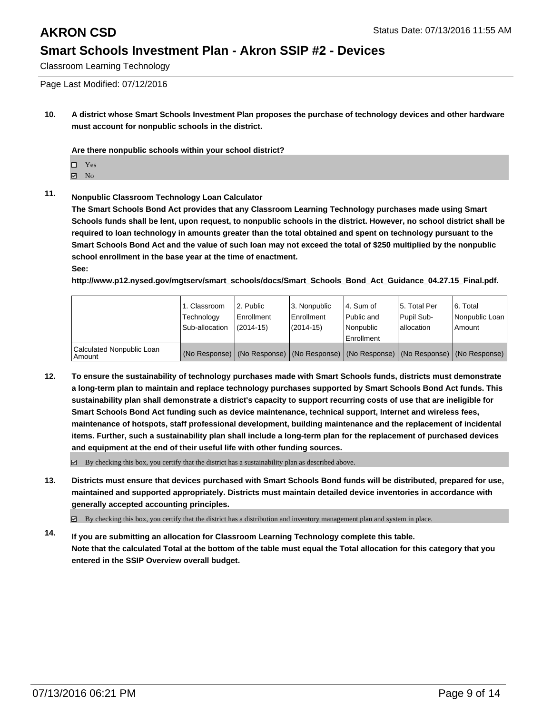Classroom Learning Technology

Page Last Modified: 07/12/2016

**10. A district whose Smart Schools Investment Plan proposes the purchase of technology devices and other hardware must account for nonpublic schools in the district.**

**Are there nonpublic schools within your school district?**

- $\Box$  Yes
- **☑** No

## **11. Nonpublic Classroom Technology Loan Calculator**

**The Smart Schools Bond Act provides that any Classroom Learning Technology purchases made using Smart Schools funds shall be lent, upon request, to nonpublic schools in the district. However, no school district shall be required to loan technology in amounts greater than the total obtained and spent on technology pursuant to the Smart Schools Bond Act and the value of such loan may not exceed the total of \$250 multiplied by the nonpublic school enrollment in the base year at the time of enactment. See:**

**http://www.p12.nysed.gov/mgtserv/smart\_schools/docs/Smart\_Schools\_Bond\_Act\_Guidance\_04.27.15\_Final.pdf.**

|                                     | l 1. Classroom<br>Technology<br>Sub-allocation                                      | 2. Public<br>Enrollment<br>$(2014 - 15)$ | 3. Nonpublic<br><b>Enrollment</b><br>$(2014 - 15)$ | l 4. Sum of<br>Public and<br>l Nonpublic<br>Enrollment | 15. Total Per<br><b>Pupil Sub-</b><br>Iallocation | 6. Total<br>Nonpublic Loan  <br>Amount |
|-------------------------------------|-------------------------------------------------------------------------------------|------------------------------------------|----------------------------------------------------|--------------------------------------------------------|---------------------------------------------------|----------------------------------------|
| Calculated Nonpublic Loan<br>Amount | (No Response) (No Response) (No Response) (No Response) (No Response) (No Response) |                                          |                                                    |                                                        |                                                   |                                        |

**12. To ensure the sustainability of technology purchases made with Smart Schools funds, districts must demonstrate a long-term plan to maintain and replace technology purchases supported by Smart Schools Bond Act funds. This sustainability plan shall demonstrate a district's capacity to support recurring costs of use that are ineligible for Smart Schools Bond Act funding such as device maintenance, technical support, Internet and wireless fees, maintenance of hotspots, staff professional development, building maintenance and the replacement of incidental items. Further, such a sustainability plan shall include a long-term plan for the replacement of purchased devices and equipment at the end of their useful life with other funding sources.**

 $\boxtimes$  By checking this box, you certify that the district has a sustainability plan as described above.

**13. Districts must ensure that devices purchased with Smart Schools Bond funds will be distributed, prepared for use, maintained and supported appropriately. Districts must maintain detailed device inventories in accordance with generally accepted accounting principles.**

By checking this box, you certify that the district has a distribution and inventory management plan and system in place.

**14. If you are submitting an allocation for Classroom Learning Technology complete this table. Note that the calculated Total at the bottom of the table must equal the Total allocation for this category that you entered in the SSIP Overview overall budget.**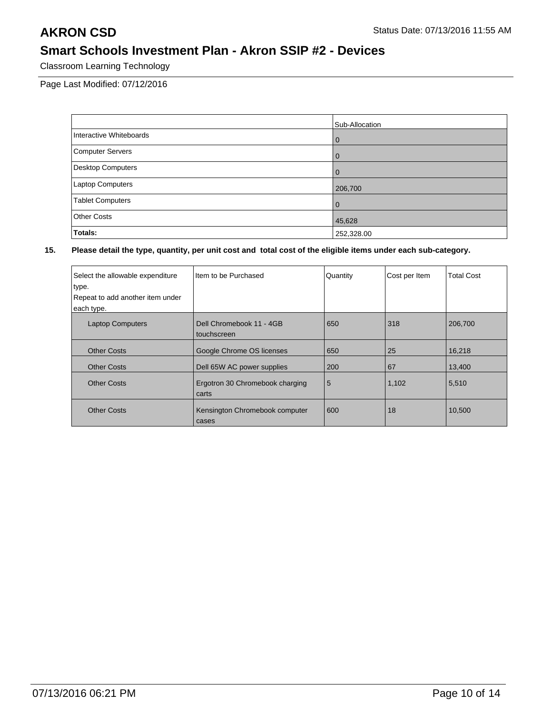Classroom Learning Technology

Page Last Modified: 07/12/2016

|                          | Sub-Allocation |
|--------------------------|----------------|
| Interactive Whiteboards  | $\overline{0}$ |
| Computer Servers         | l 0            |
| <b>Desktop Computers</b> | $\overline{0}$ |
| <b>Laptop Computers</b>  | 206,700        |
| <b>Tablet Computers</b>  | l 0            |
| <b>Other Costs</b>       | 45,628         |
| Totals:                  | 252,328.00     |

| Select the allowable expenditure<br>type.<br>Repeat to add another item under<br>each type. | Item to be Purchased                     | Quantity | Cost per Item | <b>Total Cost</b> |
|---------------------------------------------------------------------------------------------|------------------------------------------|----------|---------------|-------------------|
| <b>Laptop Computers</b>                                                                     | Dell Chromebook 11 - 4GB<br>touchscreen  | 650      | 318           | 206,700           |
| <b>Other Costs</b>                                                                          | Google Chrome OS licenses                | 650      | 25            | 16,218            |
| <b>Other Costs</b>                                                                          | Dell 65W AC power supplies               | 200      | 67            | 13,400            |
| <b>Other Costs</b>                                                                          | Ergotron 30 Chromebook charging<br>carts | 5        | 1,102         | 5,510             |
| <b>Other Costs</b>                                                                          | Kensington Chromebook computer<br>cases  | 600      | 18            | 10.500            |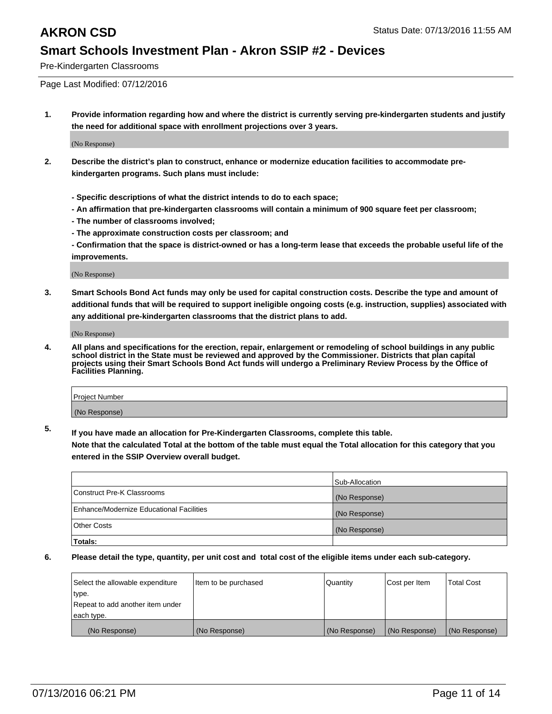Pre-Kindergarten Classrooms

Page Last Modified: 07/12/2016

**1. Provide information regarding how and where the district is currently serving pre-kindergarten students and justify the need for additional space with enrollment projections over 3 years.**

(No Response)

- **2. Describe the district's plan to construct, enhance or modernize education facilities to accommodate prekindergarten programs. Such plans must include:**
	- **Specific descriptions of what the district intends to do to each space;**
	- **An affirmation that pre-kindergarten classrooms will contain a minimum of 900 square feet per classroom;**
	- **The number of classrooms involved;**
	- **The approximate construction costs per classroom; and**
	- **Confirmation that the space is district-owned or has a long-term lease that exceeds the probable useful life of the improvements.**

(No Response)

**3. Smart Schools Bond Act funds may only be used for capital construction costs. Describe the type and amount of additional funds that will be required to support ineligible ongoing costs (e.g. instruction, supplies) associated with any additional pre-kindergarten classrooms that the district plans to add.**

(No Response)

**4. All plans and specifications for the erection, repair, enlargement or remodeling of school buildings in any public school district in the State must be reviewed and approved by the Commissioner. Districts that plan capital projects using their Smart Schools Bond Act funds will undergo a Preliminary Review Process by the Office of Facilities Planning.**

| Project Number |  |
|----------------|--|
| (No Response)  |  |

**5. If you have made an allocation for Pre-Kindergarten Classrooms, complete this table.**

**Note that the calculated Total at the bottom of the table must equal the Total allocation for this category that you entered in the SSIP Overview overall budget.**

|                                          | Sub-Allocation |
|------------------------------------------|----------------|
| Construct Pre-K Classrooms               | (No Response)  |
| Enhance/Modernize Educational Facilities | (No Response)  |
| <b>Other Costs</b>                       | (No Response)  |
| Totals:                                  |                |

| Select the allowable expenditure | litem to be purchased | Quantity      | Cost per Item | <b>Total Cost</b> |
|----------------------------------|-----------------------|---------------|---------------|-------------------|
| type.                            |                       |               |               |                   |
| Repeat to add another item under |                       |               |               |                   |
| each type.                       |                       |               |               |                   |
| (No Response)                    | (No Response)         | (No Response) | (No Response) | (No Response)     |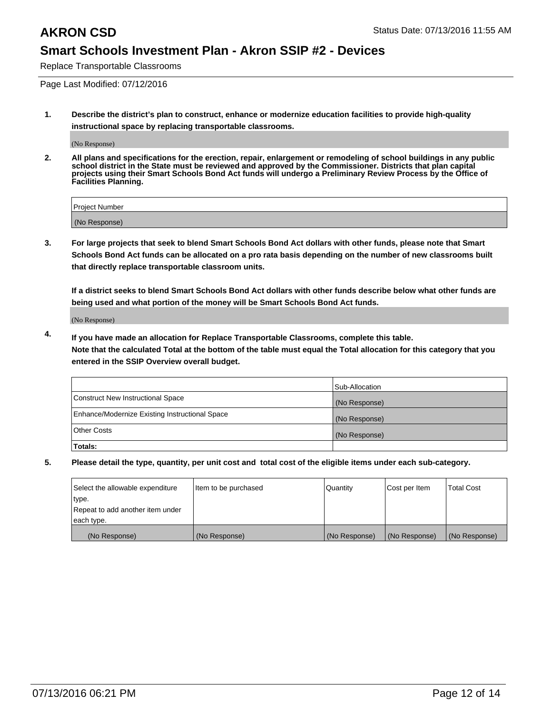Replace Transportable Classrooms

Page Last Modified: 07/12/2016

**1. Describe the district's plan to construct, enhance or modernize education facilities to provide high-quality instructional space by replacing transportable classrooms.**

(No Response)

**2. All plans and specifications for the erection, repair, enlargement or remodeling of school buildings in any public school district in the State must be reviewed and approved by the Commissioner. Districts that plan capital projects using their Smart Schools Bond Act funds will undergo a Preliminary Review Process by the Office of Facilities Planning.**

| Project Number |  |
|----------------|--|
| (No Response)  |  |

**3. For large projects that seek to blend Smart Schools Bond Act dollars with other funds, please note that Smart Schools Bond Act funds can be allocated on a pro rata basis depending on the number of new classrooms built that directly replace transportable classroom units.**

**If a district seeks to blend Smart Schools Bond Act dollars with other funds describe below what other funds are being used and what portion of the money will be Smart Schools Bond Act funds.**

(No Response)

**4. If you have made an allocation for Replace Transportable Classrooms, complete this table. Note that the calculated Total at the bottom of the table must equal the Total allocation for this category that you entered in the SSIP Overview overall budget.**

|                                                | Sub-Allocation |
|------------------------------------------------|----------------|
| Construct New Instructional Space              | (No Response)  |
| Enhance/Modernize Existing Instructional Space | (No Response)  |
| Other Costs                                    | (No Response)  |
| Totals:                                        |                |

| Select the allowable expenditure | Item to be purchased | Quantity      | Cost per Item | <b>Total Cost</b> |
|----------------------------------|----------------------|---------------|---------------|-------------------|
| type.                            |                      |               |               |                   |
| Repeat to add another item under |                      |               |               |                   |
| each type.                       |                      |               |               |                   |
| (No Response)                    | (No Response)        | (No Response) | (No Response) | (No Response)     |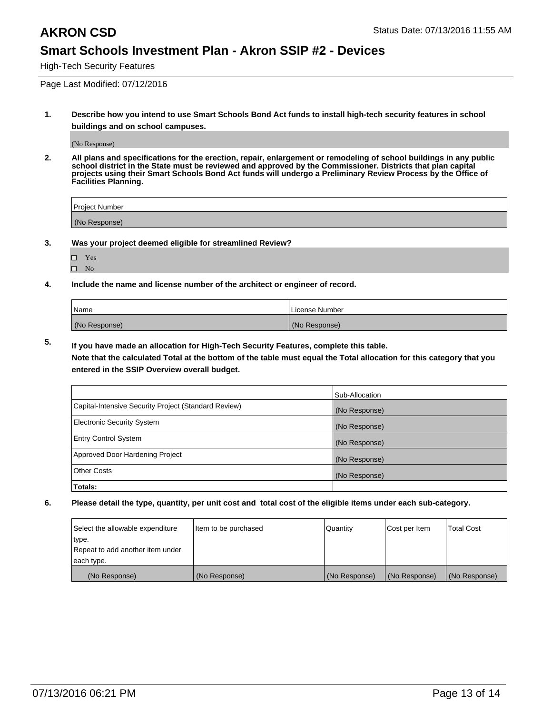High-Tech Security Features

Page Last Modified: 07/12/2016

**1. Describe how you intend to use Smart Schools Bond Act funds to install high-tech security features in school buildings and on school campuses.**

(No Response)

**2. All plans and specifications for the erection, repair, enlargement or remodeling of school buildings in any public school district in the State must be reviewed and approved by the Commissioner. Districts that plan capital projects using their Smart Schools Bond Act funds will undergo a Preliminary Review Process by the Office of Facilities Planning.** 

| Proiect Number |  |
|----------------|--|
| (No Response)  |  |

**3. Was your project deemed eligible for streamlined Review?**

| П | Yes |  |
|---|-----|--|
| П | Nο  |  |

**4. Include the name and license number of the architect or engineer of record.**

| Name          | License Number |
|---------------|----------------|
| (No Response) | (No Response)  |

**5. If you have made an allocation for High-Tech Security Features, complete this table.**

**Note that the calculated Total at the bottom of the table must equal the Total allocation for this category that you entered in the SSIP Overview overall budget.**

|                                                      | Sub-Allocation |
|------------------------------------------------------|----------------|
| Capital-Intensive Security Project (Standard Review) | (No Response)  |
| <b>Electronic Security System</b>                    | (No Response)  |
| <b>Entry Control System</b>                          | (No Response)  |
| Approved Door Hardening Project                      | (No Response)  |
| <b>Other Costs</b>                                   | (No Response)  |
| Totals:                                              |                |

| Select the allowable expenditure | Item to be purchased | Quantity      | Cost per Item | <b>Total Cost</b> |
|----------------------------------|----------------------|---------------|---------------|-------------------|
| type.                            |                      |               |               |                   |
| Repeat to add another item under |                      |               |               |                   |
| each type.                       |                      |               |               |                   |
| (No Response)                    | (No Response)        | (No Response) | (No Response) | (No Response)     |